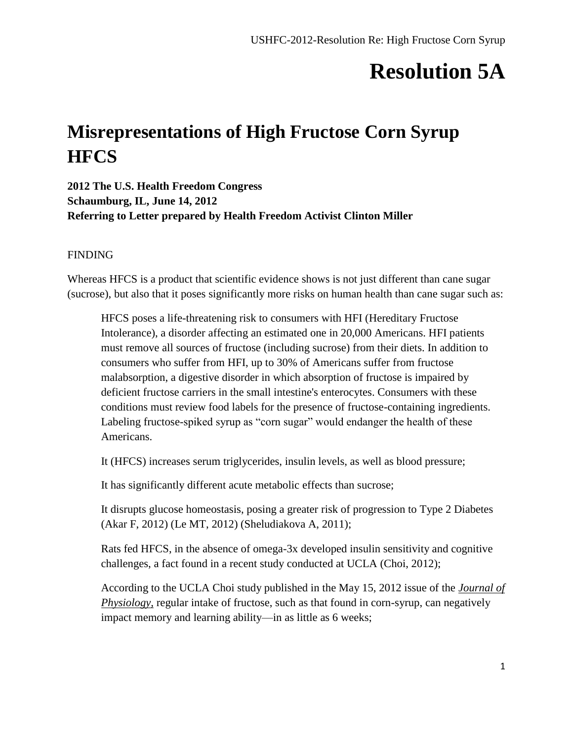### **Resolution 5A**

### **Misrepresentations of High Fructose Corn Syrup HFCS**

**2012 The U.S. Health Freedom Congress Schaumburg, IL, June 14, 2012 Referring to Letter prepared by Health Freedom Activist Clinton Miller**

#### FINDING

Whereas HFCS is a product that scientific evidence shows is not just different than cane sugar (sucrose), but also that it poses significantly more risks on human health than cane sugar such as:

HFCS poses a life-threatening risk to consumers with HFI (Hereditary Fructose Intolerance), a disorder affecting an estimated one in 20,000 Americans. HFI patients must remove all sources of fructose (including sucrose) from their diets. In addition to consumers who suffer from HFI, up to 30% of Americans suffer from fructose malabsorption, a digestive disorder in which absorption of fructose is impaired by deficient fructose carriers in the small intestine's enterocytes. Consumers with these conditions must review food labels for the presence of fructose-containing ingredients. Labeling fructose-spiked syrup as "corn sugar" would endanger the health of these Americans.

It (HFCS) increases serum triglycerides, insulin levels, as well as blood pressure;

It has significantly different acute metabolic effects than sucrose;

It disrupts glucose homeostasis, posing a greater risk of progression to Type 2 Diabetes (Akar F, 2012) (Le MT, 2012) (Sheludiakova A, 2011);

Rats fed HFCS, in the absence of omega-3x developed insulin sensitivity and cognitive challenges, a fact found in a recent study conducted at UCLA (Choi, 2012);

According to the UCLA Choi study published in the May 15, 2012 issue of the *Journal of Physiology,* regular intake of fructose, such as that found in corn-syrup, can negatively impact memory and learning ability—in as little as 6 weeks;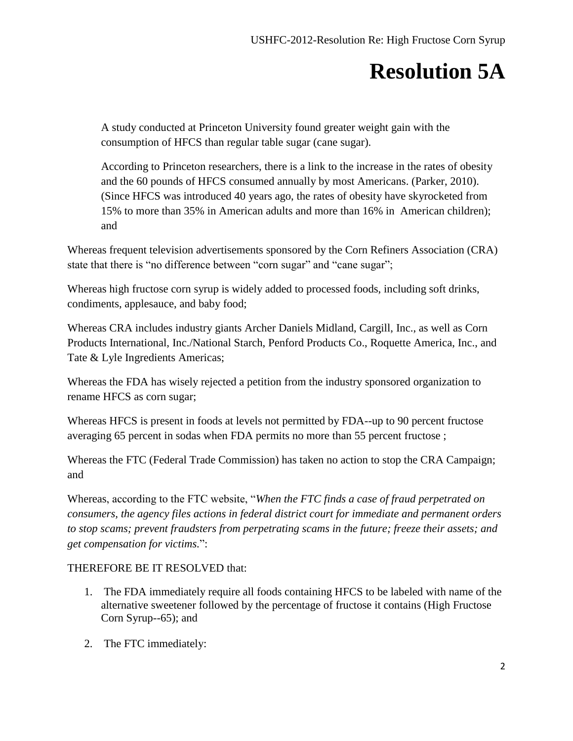# **Resolution 5A**

A study conducted at Princeton University found greater weight gain with the consumption of HFCS than regular table sugar (cane sugar).

According to Princeton researchers, there is a link to the increase in the rates of obesity and the 60 pounds of HFCS consumed annually by most Americans. (Parker, 2010). (Since HFCS was introduced 40 years ago, the rates of obesity have skyrocketed from 15% to more than 35% in American adults and more than 16% in American children); and

Whereas frequent television advertisements sponsored by the Corn Refiners Association (CRA) state that there is "no difference between "corn sugar" and "cane sugar";

Whereas high fructose corn syrup is widely added to processed foods, including soft drinks, condiments, applesauce, and baby food;

Whereas CRA includes industry giants Archer Daniels Midland, Cargill, Inc., as well as Corn Products International, Inc./National Starch, Penford Products Co., Roquette America, Inc., and Tate & Lyle Ingredients Americas;

Whereas the FDA has wisely rejected a petition from the industry sponsored organization to rename HFCS as corn sugar;

Whereas HFCS is present in foods at levels not permitted by FDA--up to 90 percent fructose averaging 65 percent in sodas when FDA permits no more than 55 percent fructose ;

Whereas the FTC (Federal Trade Commission) has taken no action to stop the CRA Campaign; and

Whereas, according to the FTC website, "*When the FTC finds a case of fraud perpetrated on consumers, the agency files actions in federal district court for immediate and permanent orders to stop scams; prevent fraudsters from perpetrating scams in the future; freeze their assets; and get compensation for victims.*":

#### THEREFORE BE IT RESOLVED that:

- 1. The FDA immediately require all foods containing HFCS to be labeled with name of the alternative sweetener followed by the percentage of fructose it contains (High Fructose Corn Syrup--65); and
- 2. The FTC immediately: